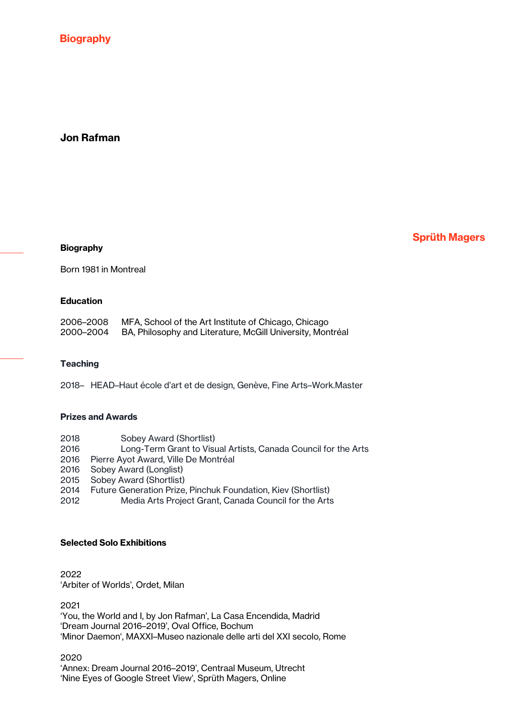# **Biography**

## Jon Rafman

Sprüth Magers

Born 1981 in Montreal

### Education

Biography

| 2006–2008 | MFA, School of the Art Institute of Chicago, Chicago       |
|-----------|------------------------------------------------------------|
| 2000–2004 | BA, Philosophy and Literature, McGill University, Montréal |

#### **Teaching**

2018– HEAD–Haut école d'art et de design, Genève, Fine Arts–Work.Master

#### Prizes and Awards

- 2018 Sobey Award (Shortlist)
- 2016 Long-Term Grant to Visual Artists, Canada Council for the Arts
- 2016 Pierre Ayot Award, Ville De Montréal
- 2016 Sobey Award (Longlist)
- 2015 Sobey Award (Shortlist)
- 2014 Future Generation Prize, Pinchuk Foundation, Kiev (Shortlist)
- 2012 Media Arts Project Grant, Canada Council for the Arts

#### Selected Solo Exhibitions

2022 'Arbiter of Worlds', Ordet, Milan

2021 'You, the World and I, by Jon Rafman', La Casa Encendida, Madrid 'Dream Journal 2016–2019', Oval Office, Bochum 'Minor Daemon', MAXXI–Museo nazionale delle arti del XXI secolo, Rome

2020 'Annex: Dream Journal 2016–2019', Centraal Museum, Utrecht 'Nine Eyes of Google Street View', Sprüth Magers, Online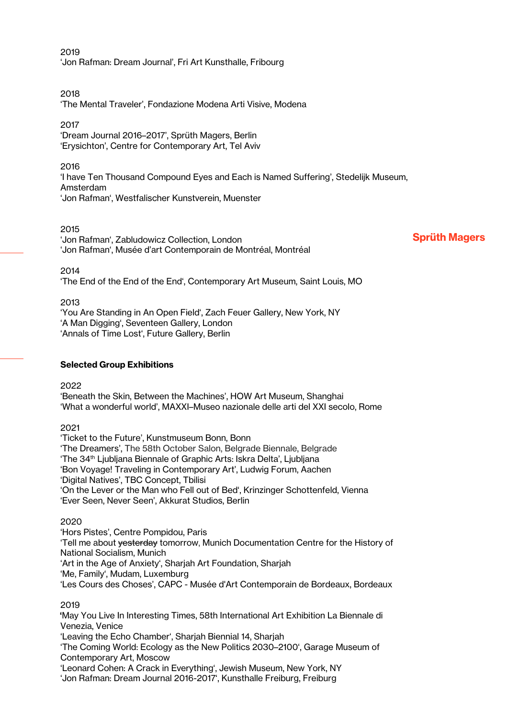2019 'Jon Rafman: Dream Journal', Fri Art Kunsthalle, Fribourg

### 2018

'The Mental Traveler', Fondazione Modena Arti Visive, Modena

### 2017

'Dream Journal 2016–2017', Sprüth Magers, Berlin 'Erysichton', Centre for Contemporary Art, Tel Aviv

### 2016

'I have Ten Thousand Compound Eyes and Each is Named Suffering', Stedelijk Museum, Amsterdam 'Jon Rafman', Westfalischer Kunstverein, Muenster

### 2015

'Jon Rafman', Zabludowicz Collection, London 'Jon Rafman', Musée d'art Contemporain de Montréal, Montréal Sprüth Magers

### 2014

'The End of the End of the End', Contemporary Art Museum, Saint Louis, MO

### 2013

'You Are Standing in An Open Field', Zach Feuer Gallery, New York, NY 'A Man Digging', Seventeen Gallery, London 'Annals of Time Lost', Future Gallery, Berlin

### Selected Group Exhibitions

2022

'Beneath the Skin, Between the Machines', HOW Art Museum, Shanghai 'What a wonderful world', MAXXI–Museo nazionale delle arti del XXI secolo, Rome

2021

'Ticket to the Future', Kunstmuseum Bonn, Bonn 'The Dreamers', The 58th October Salon, Belgrade Biennale, Belgrade 'The 34<sup>th</sup> Ljubljana Biennale of Graphic Arts: Iskra Delta', Ljubljana 'Bon Voyage! Traveling in Contemporary Art', Ludwig Forum, Aachen 'Digital Natives', TBC Concept, Tbilisi 'On the Lever or the Man who Fell out of Bed', Krinzinger Schottenfeld, Vienna 'Ever Seen, Never Seen', Akkurat Studios, Berlin

### 2020

'Hors Pistes', Centre Pompidou, Paris 'Tell me about yesterday tomorrow, Munich Documentation Centre for the History of National Socialism, Munich 'Art in the Age of Anxiety', Sharjah Art Foundation, Sharjah 'Me, Family', Mudam, Luxemburg 'Les Cours des Choses', CAPC - Musée d'Art Contemporain de Bordeaux, Bordeaux

### 2019

'May You Live In Interesting Times, 58th International Art Exhibition La Biennale di Venezia, Venice

'Leaving the Echo Chamber', Sharjah Biennial 14, Sharjah

'The Coming World: Ecology as the New Politics 2030–2100', Garage Museum of Contemporary Art, Moscow

'Leonard Cohen: A Crack in Everything', Jewish Museum, New York, NY 'Jon Rafman: Dream Journal 2016-2017', Kunsthalle Freiburg, Freiburg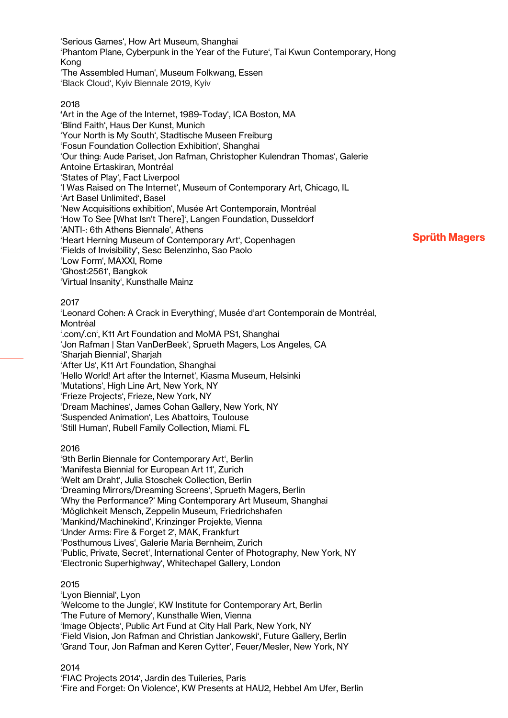'Serious Games', How Art Museum, Shanghai 'Phantom Plane, Cyberpunk in the Year of the Future', Tai Kwun Contemporary, Hong Kong 'The Assembled Human', Museum Folkwang, Essen 'Black Cloud', Kyiv Biennale 2019, Kyiv

### 2018

'Art in the Age of the Internet, 1989-Today', ICA Boston, MA 'Blind Faith', Haus Der Kunst, Munich 'Your North is My South', Stadtische Museen Freiburg 'Fosun Foundation Collection Exhibition', Shanghai 'Our thing: Aude Pariset, Jon Rafman, Christopher Kulendran Thomas', Galerie Antoine Ertaskiran, Montréal 'States of Play', Fact Liverpool 'I Was Raised on The Internet', Museum of Contemporary Art, Chicago, IL 'Art Basel Unlimited', Basel 'New Acquisitions exhibition', Musée Art Contemporain, Montréal 'How To See [What Isn't There]', Langen Foundation, Dusseldorf 'ANTI-: 6th Athens Biennale', Athens 'Heart Herning Museum of Contemporary Art', Copenhagen 'Fields of Invisibility', Sesc Belenzinho, Sao Paolo 'Low Form', MAXXI, Rome 'Ghost:2561', Bangkok 'Virtual Insanity', Kunsthalle Mainz

Sprüth Magers

### 2017

'Leonard Cohen: A Crack in Everything', Musée d'art Contemporain de Montréal, Montréal '.com/.cn', K11 Art Foundation and MoMA PS1, Shanghai 'Jon Rafman | Stan VanDerBeek', Sprueth Magers, Los Angeles, CA 'Sharjah Biennial', Sharjah 'After Us', K11 Art Foundation, Shanghai 'Hello World! Art after the Internet', Kiasma Museum, Helsinki 'Mutations', High Line Art, New York, NY 'Frieze Projects', Frieze, New York, NY 'Dream Machines', James Cohan Gallery, New York, NY 'Suspended Animation', Les Abattoirs, Toulouse 'Still Human', Rubell Family Collection, Miami. FL

### 2016

'9th Berlin Biennale for Contemporary Art', Berlin 'Manifesta Biennial for European Art 11', Zurich 'Welt am Draht', Julia Stoschek Collection, Berlin 'Dreaming Mirrors/Dreaming Screens', Sprueth Magers, Berlin 'Why the Performance?' Ming Contemporary Art Museum, Shanghai 'Möglichkeit Mensch, Zeppelin Museum, Friedrichshafen 'Mankind/Machinekind', Krinzinger Projekte, Vienna 'Under Arms: Fire & Forget 2', MAK, Frankfurt 'Posthumous Lives', Galerie Maria Bernheim, Zurich 'Public, Private, Secret', International Center of Photography, New York, NY 'Electronic Superhighway', Whitechapel Gallery, London

### 2015

'Lyon Biennial', Lyon 'Welcome to the Jungle', KW Institute for Contemporary Art, Berlin 'The Future of Memory', Kunsthalle Wien, Vienna 'Image Objects', Public Art Fund at City Hall Park, New York, NY 'Field Vision, Jon Rafman and Christian Jankowski', Future Gallery, Berlin 'Grand Tour, Jon Rafman and Keren Cytter', Feuer/Mesler, New York, NY

### 2014

'FIAC Projects 2014', Jardin des Tuileries, Paris 'Fire and Forget: On Violence', KW Presents at HAU2, Hebbel Am Ufer, Berlin